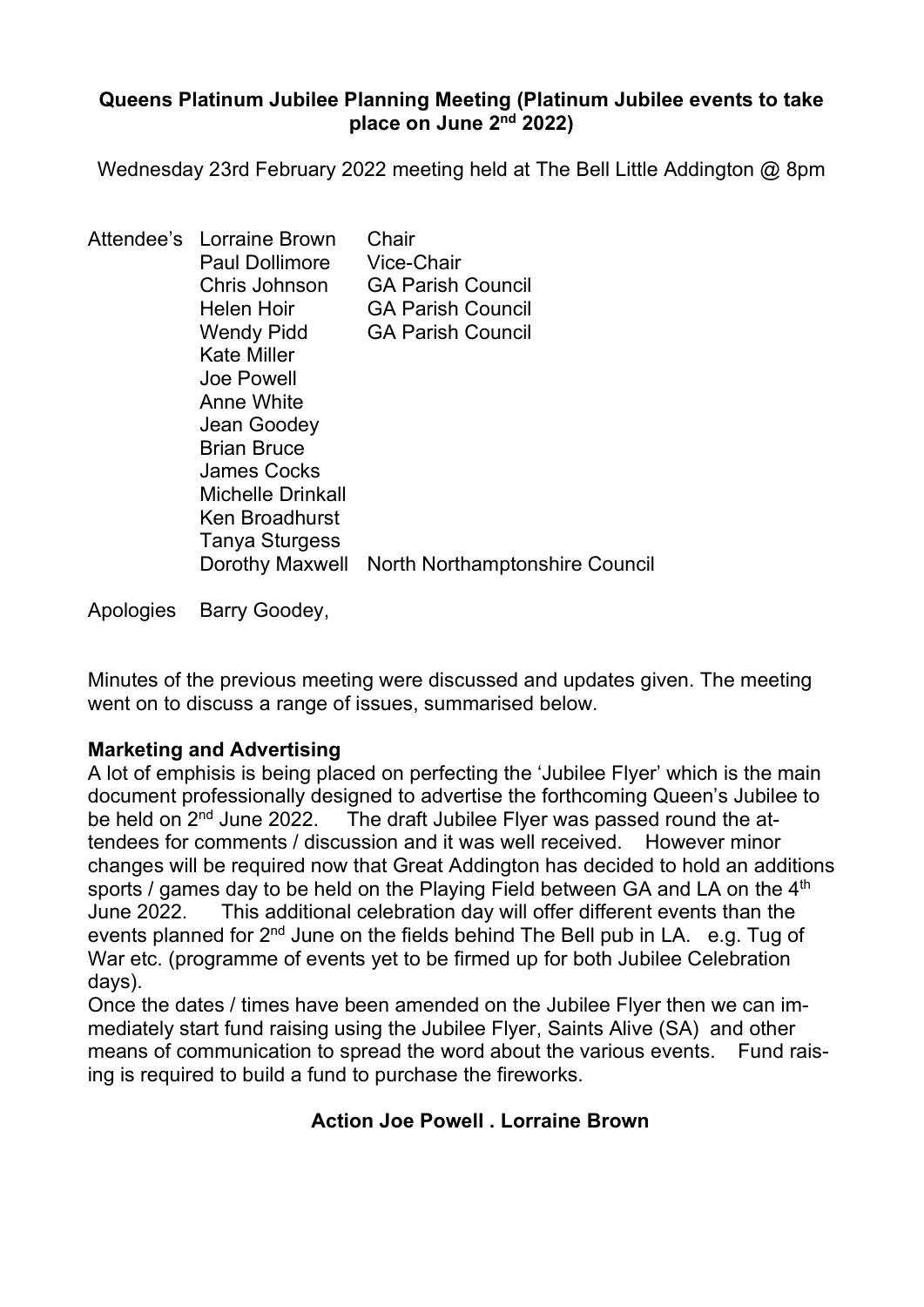### Queens Platinum Jubilee Planning Meeting (Platinum Jubilee events to take place on June 2nd 2022)

Wednesday 23rd February 2022 meeting held at The Bell Little Addington @ 8pm

| Attendee's Lorraine Brown<br><b>Paul Dollimore</b><br>Chris Johnson<br>Helen Hoir<br><b>Wendy Pidd</b><br><b>Kate Miller</b><br>Joe Powell<br>Anne White<br>Jean Goodey<br><b>Brian Bruce</b><br>James Cocks<br><b>Michelle Drinkall</b><br>Ken Broadhurst<br>Tanya Sturgess | Chair<br>Vice-Chair<br><b>GA Parish Council</b><br><b>GA Parish Council</b><br><b>GA Parish Council</b> |
|------------------------------------------------------------------------------------------------------------------------------------------------------------------------------------------------------------------------------------------------------------------------------|---------------------------------------------------------------------------------------------------------|
| Dorothy Maxwell                                                                                                                                                                                                                                                              | North Northamptonshire Council                                                                          |

Apologies Barry Goodey,

 Minutes of the previous meeting were discussed and updates given. The meeting went on to discuss a range of issues, summarised below.

# Marketing and Advertising

A lot of emphisis is being placed on perfecting the 'Jubilee Flyer' which is the main document professionally designed to advertise the forthcoming Queen's Jubilee to be held on 2<sup>nd</sup> June 2022. The draft Jubilee Flyer was passed round the at-The draft Jubilee Flyer was passed round the attendees for comments / discussion and it was well received. However minor changes will be required now that Great Addington has decided to hold an additions sports / games day to be held on the Playing Field between GA and LA on the 4<sup>th</sup> June 2022. This additional celebration day will offer different events than the events planned for  $2^{nd}$  June on the fields behind The Bell pub in LA. e.g. Tug of War etc. (programme of events yet to be firmed up for both Jubilee Celebration days).

Once the dates / times have been amended on the Jubilee Flyer then we can immediately start fund raising using the Jubilee Flyer, Saints Alive (SA) and other means of communication to spread the word about the various events. Fund raising is required to build a fund to purchase the fireworks.

# Action Joe Powell . Lorraine Brown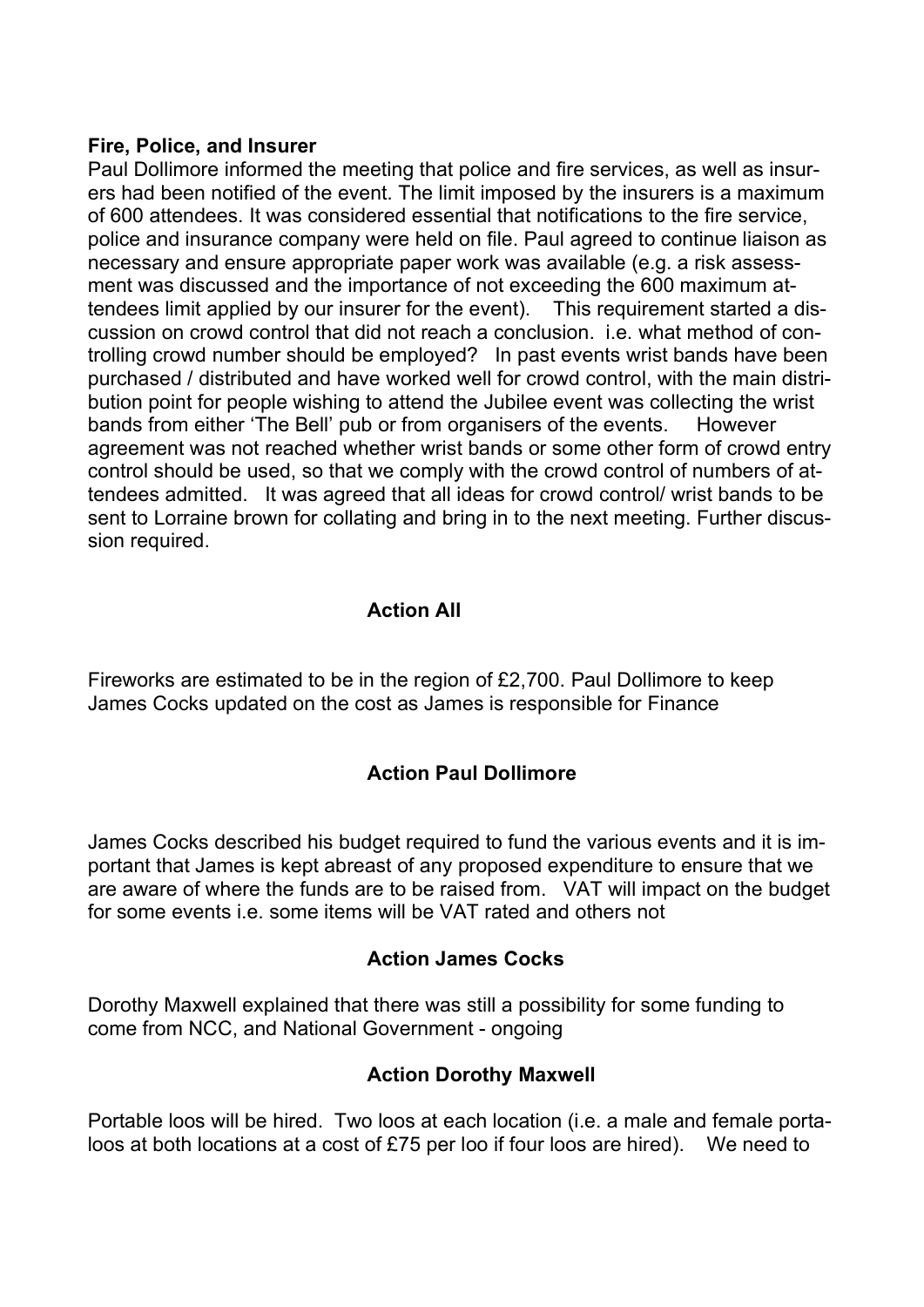#### Fire, Police, and Insurer

Paul Dollimore informed the meeting that police and fire services, as well as insurers had been notified of the event. The limit imposed by the insurers is a maximum of 600 attendees. It was considered essential that notifications to the fire service, police and insurance company were held on file. Paul agreed to continue liaison as necessary and ensure appropriate paper work was available (e.g. a risk assessment was discussed and the importance of not exceeding the 600 maximum attendees limit applied by our insurer for the event). This requirement started a discussion on crowd control that did not reach a conclusion. i.e. what method of controlling crowd number should be employed? In past events wrist bands have been purchased / distributed and have worked well for crowd control, with the main distribution point for people wishing to attend the Jubilee event was collecting the wrist bands from either 'The Bell' pub or from organisers of the events. However agreement was not reached whether wrist bands or some other form of crowd entry control should be used, so that we comply with the crowd control of numbers of attendees admitted. It was agreed that all ideas for crowd control/ wrist bands to be sent to Lorraine brown for collating and bring in to the next meeting. Further discussion required.

## Action All

Fireworks are estimated to be in the region of £2,700. Paul Dollimore to keep James Cocks updated on the cost as James is responsible for Finance

# Action Paul Dollimore

James Cocks described his budget required to fund the various events and it is important that James is kept abreast of any proposed expenditure to ensure that we are aware of where the funds are to be raised from. VAT will impact on the budget for some events i.e. some items will be VAT rated and others not

### Action James Cocks

Dorothy Maxwell explained that there was still a possibility for some funding to come from NCC, and National Government - ongoing

### Action Dorothy Maxwell

Portable loos will be hired. Two loos at each location (i.e. a male and female portaloos at both locations at a cost of £75 per loo if four loos are hired). We need to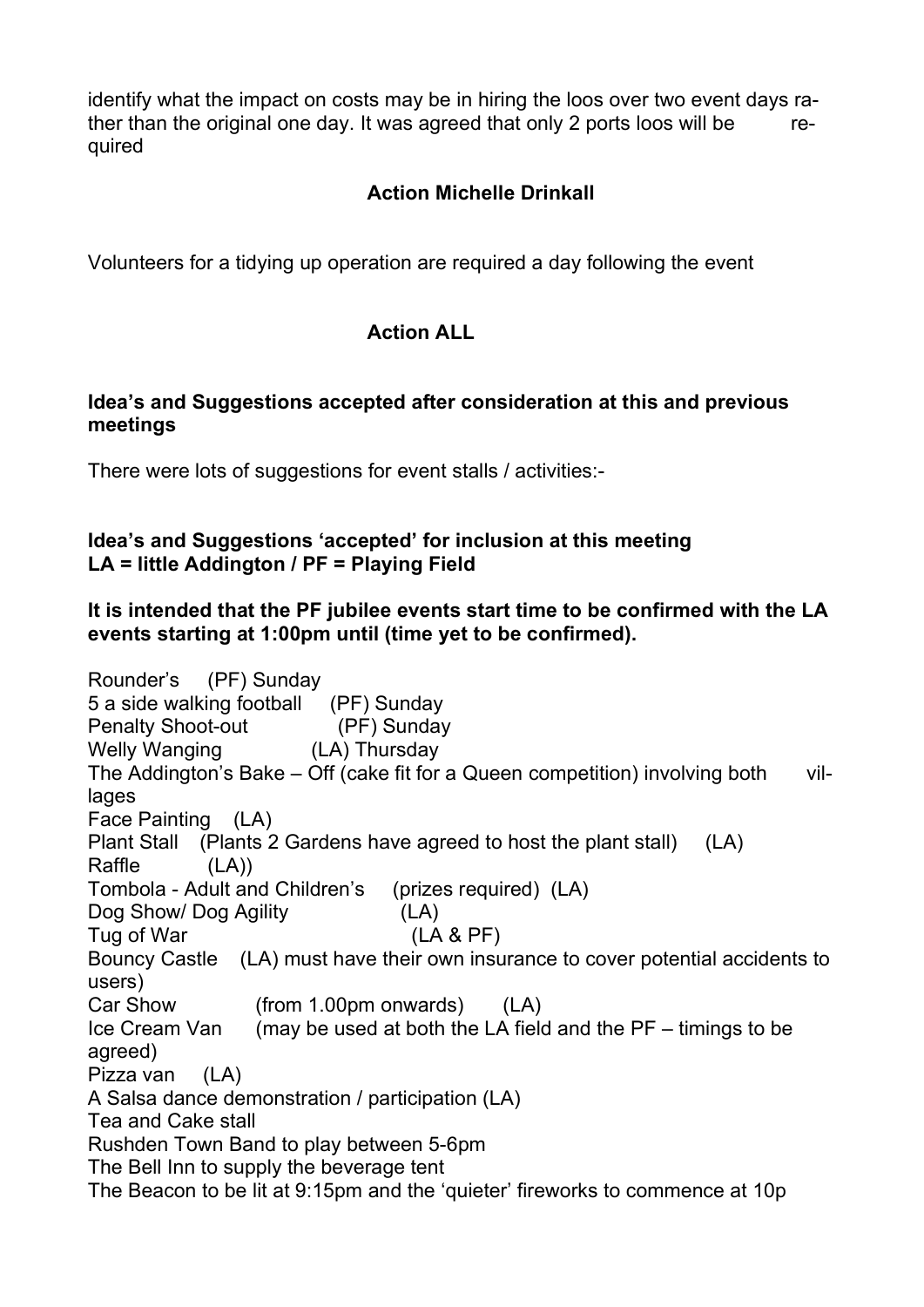identify what the impact on costs may be in hiring the loos over two event days rather than the original one day. It was agreed that only 2 ports loos will be required

# Action Michelle Drinkall

Volunteers for a tidying up operation are required a day following the event

## Action ALL

### Idea's and Suggestions accepted after consideration at this and previous meetings

There were lots of suggestions for event stalls / activities:-

#### Idea's and Suggestions 'accepted' for inclusion at this meeting LA = little Addington / PF = Playing Field

### It is intended that the PF jubilee events start time to be confirmed with the LA events starting at 1:00pm until (time yet to be confirmed).

Rounder's (PF) Sunday 5 a side walking football (PF) Sunday Penalty Shoot-out (PF) Sunday Welly Wanging (LA) Thursday The Addington's Bake  $-$  Off (cake fit for a Queen competition) involving both villages Face Painting (LA) Plant Stall (Plants 2 Gardens have agreed to host the plant stall) (LA) Raffle (LA)) Tombola - Adult and Children's (prizes required) (LA) Dog Show/ Dog Agility (LA) Tug of War (LA & PF) Bouncy Castle (LA) must have their own insurance to cover potential accidents to users) Car Show (from 1.00pm onwards) (LA) Ice Cream Van (may be used at both the LA field and the PF – timings to be agreed) Pizza van (LA) A Salsa dance demonstration / participation (LA) Tea and Cake stall Rushden Town Band to play between 5-6pm The Bell Inn to supply the beverage tent The Beacon to be lit at 9:15pm and the 'quieter' fireworks to commence at 10p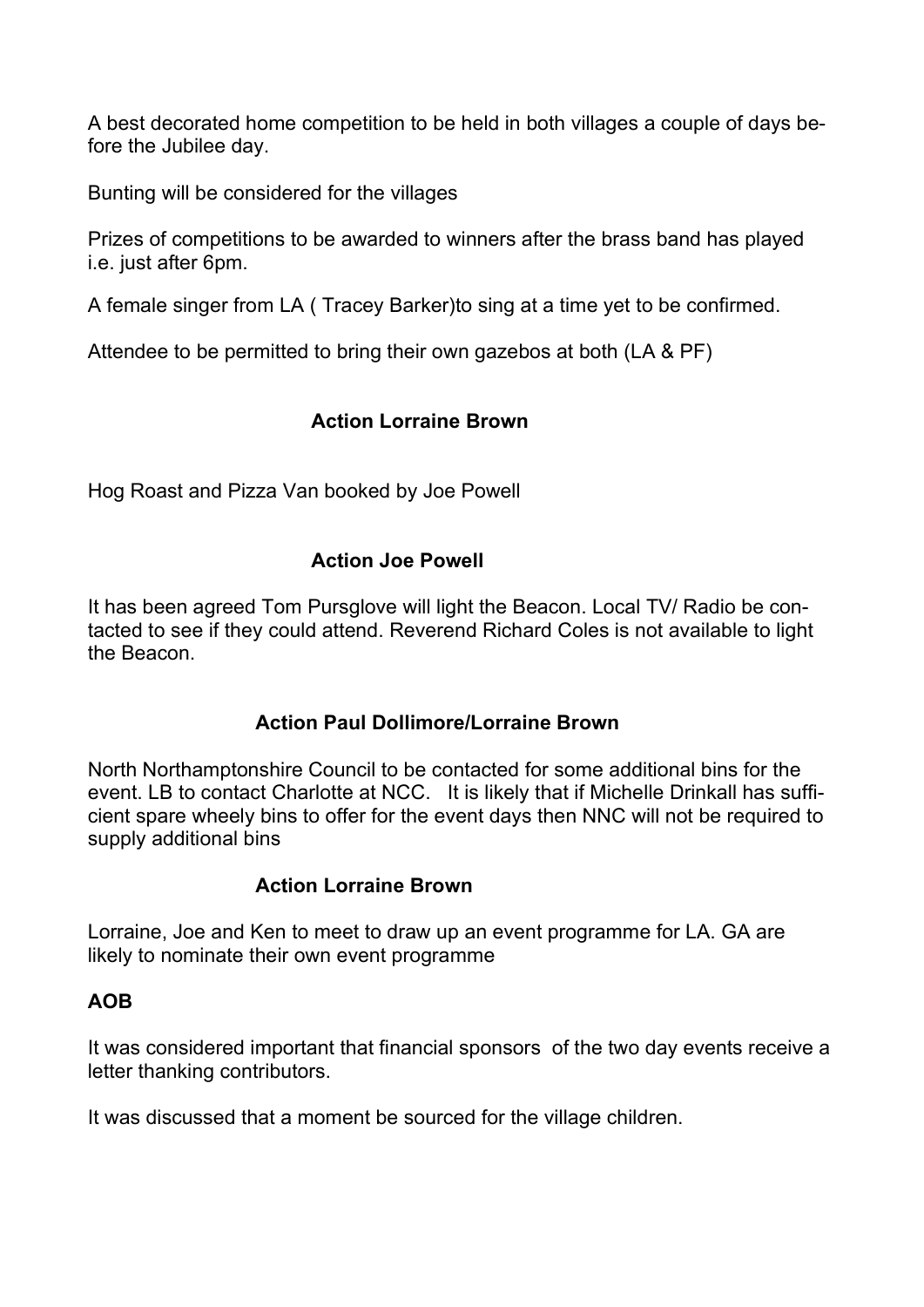A best decorated home competition to be held in both villages a couple of days before the Jubilee day.

Bunting will be considered for the villages

Prizes of competitions to be awarded to winners after the brass band has played i.e. just after 6pm.

A female singer from LA ( Tracey Barker)to sing at a time yet to be confirmed.

Attendee to be permitted to bring their own gazebos at both (LA & PF)

## Action Lorraine Brown

Hog Roast and Pizza Van booked by Joe Powell

### Action Joe Powell

It has been agreed Tom Pursglove will light the Beacon. Local TV/ Radio be contacted to see if they could attend. Reverend Richard Coles is not available to light the Beacon.

### Action Paul Dollimore/Lorraine Brown

North Northamptonshire Council to be contacted for some additional bins for the event. LB to contact Charlotte at NCC. It is likely that if Michelle Drinkall has sufficient spare wheely bins to offer for the event days then NNC will not be required to supply additional bins

#### Action Lorraine Brown

Lorraine, Joe and Ken to meet to draw up an event programme for LA. GA are likely to nominate their own event programme

#### AOB

It was considered important that financial sponsors of the two day events receive a letter thanking contributors.

It was discussed that a moment be sourced for the village children.